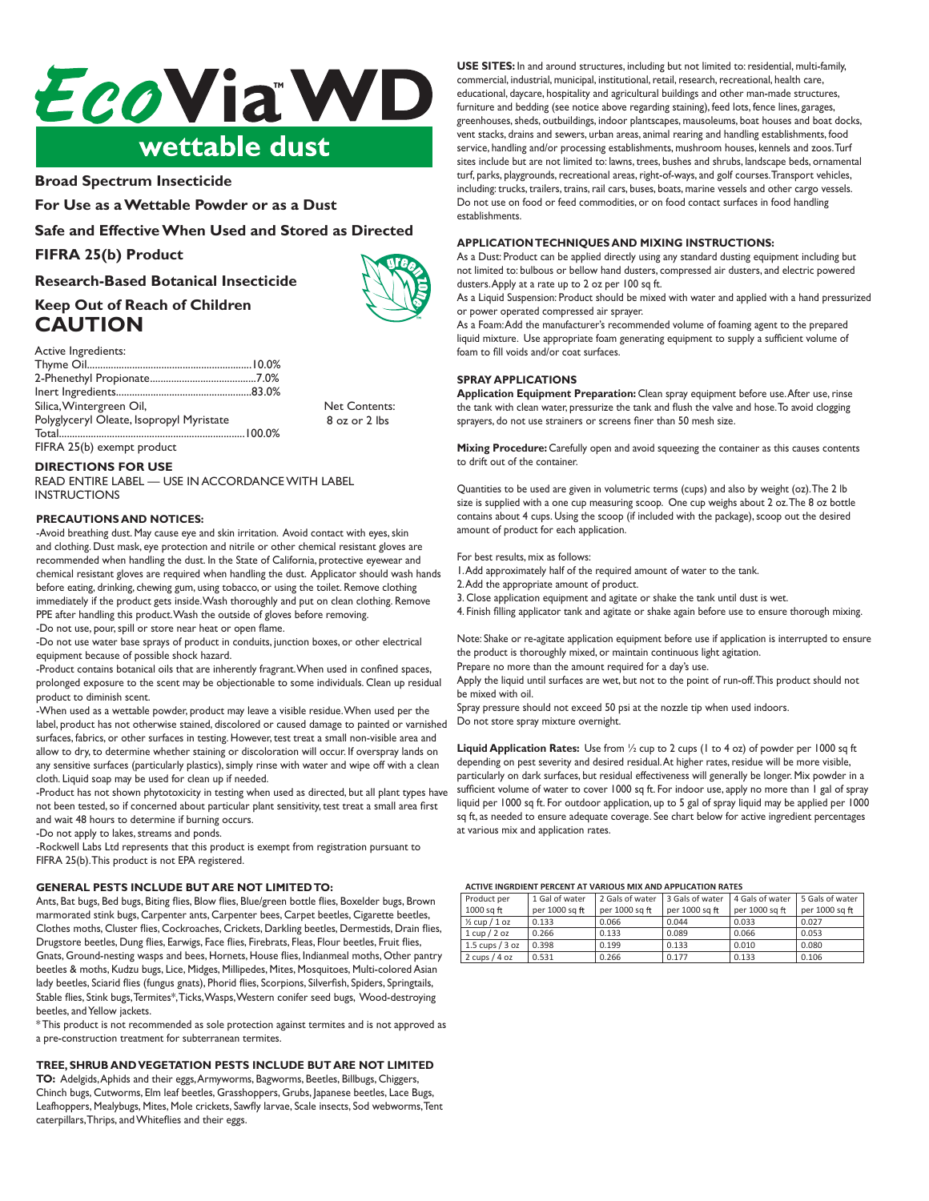

# **CAUTION**<br>Broad Spectrum Insecticide

Active Ingredients: For Use as a Wettable Powder or as a Dust

2-Phenethyl Propionate........................................7.0% Safe and Effective When Used and Stored as Directed

#### $SIDA-2E/LVB_{max}$ **FIFRA 25(b) Product**

#### Iosaarch Rasod Rotanical Insocticid Research-<mark>B</mark>ased Botanical Insecticide

### **DIRECTIONS FOR USE Keep Out of Reach of Children**  $CAUTION$ INSTRUCTIONS

### Active Ingredients:

| Silica, Wintergreen Oil,                                                                                                                                                                                                                                                                                                                                                                                                                                                   | <b>Net Contents:</b> |  |
|----------------------------------------------------------------------------------------------------------------------------------------------------------------------------------------------------------------------------------------------------------------------------------------------------------------------------------------------------------------------------------------------------------------------------------------------------------------------------|----------------------|--|
| Polyglyceryl Oleate, Isopropyl Myristate                                                                                                                                                                                                                                                                                                                                                                                                                                   | 8 oz or 2 lbs        |  |
|                                                                                                                                                                                                                                                                                                                                                                                                                                                                            |                      |  |
| $\frac{1}{2} \left( \frac{1}{2} \right) \left( \frac{1}{2} \right) \left( \frac{1}{2} \right) \left( \frac{1}{2} \right) \left( \frac{1}{2} \right) \left( \frac{1}{2} \right) \left( \frac{1}{2} \right) \left( \frac{1}{2} \right) \left( \frac{1}{2} \right) \left( \frac{1}{2} \right) \left( \frac{1}{2} \right) \left( \frac{1}{2} \right) \left( \frac{1}{2} \right) \left( \frac{1}{2} \right) \left( \frac{1}{2} \right) \left( \frac{1}{2} \right) \left( \frac$ |                      |  |

FIFRA 25(b) exempt product immediately in the product in the product in the product in the product in the product in the product in the product in the product in the product in the product in the product in the product in

# **DIRECTIONS FOR USE**

-Do not use water base sprays of product in conduits, junction boxes, or other INSTRUCTIONS **DIRECTIONS POR OSE**<br>READ ENTIRE LABEL — USE IN ACCORDANCE WITH LABEL

# **PRECAUTIONS AND NOTICES:**

- Avoid breathing dust. May cause eye and skin irritation. Avoid contact with eyes, skin recommended when handling the dust. In the State of California, protective eyewear and chemical resistant gloves are required when handling the dust. Applicator should wash hands before eating, drinking, chewing gum, using tobacco, or using the toilet. Remove clothing immediately if the product gets inside. Wash thoroughly and put on clean clothing. Remove The product gets inside. Wash the outside of gloves before removing. Nennot The arter nanding dist product. Wash the outside or gloves before removing.<br>-Do not use, pour, spill or store near heat or open flame. and clothing. Dust mask, eye protection and nitrile or other chemical resistant gloves are

bu nut use, puth, spin ut sture fiear fieat ur upen name.<br>De not use with here experie of with with a conduite investigate with a clean cleanised -Do not use water base sprays of product in conduits, junction boxes, or other electrical<br>soviement begaves of seasible shock harand equipment because of possible shock hazard.

equipment because or possible shock hazard.<br>-Product contains botanical oils that are inherently fragrant. When used in confined spaces, prolonged exposure to the scent may be objectionable to some individuals. Clean up residual prolonged exposure to the scent may be objectionable to some individuals. Clean up residual product to diminish scent.

product to diminish scent.<br>-When used as a wettable powder, product may leave a visible residue.When used per the label, product has not otherwise stained, discolored or caused damage to painted or varnished surfaces, fabrics, or other surfaces in testing. However, test treat a small non-visible area and allow to dry, to determine whether staining or discoloration will occur. If overspray lands on ary sensitive statiates (particularly plastics), simply thise with water and wipe on with a credit cloth. Liquid soap may be used for clean up if needed. any sensitive surfaces (particularly plastics), simply rinse with water and wipe off with a clean

ciour. Liquid soap may be used for clean up in needed.<br>-Product has not shown phytotoxicity in testing when used as directed, but all plant types have not been tested, so if concerned about particular plant sensitivity, test treat a small area first and wait 48 hours to determine if burning occurs.

-Do not apply to lakes, streams and ponds.

-Do not appry to lakes, streams and ponds.<br>-Rockwell Labs Ltd represents that this product is exempt from registration pursuant to FIFRA 25(b). This product is not EPA registered.

#### **GENERAL PESTS INCLUDE BUT ARE NOT LIMITED TO:** GENERAL PESTS INCLUDE BUT ARE NOT LIMITED TO:

mits, dat bugs, ded bugs, diting nies, diow nies, ditiergreen bottle nies, doxeider bugs, drown<br>marmorated stink bugs, Carpenter ants, Carpenter bees, Carpet beetles, Cigarette beetles, That morated strik bugs, Car perfer and, Car perfer bees, Car per beeties, Cigarette beeties, Chomes moths, Chuster mes, Cockroaches, Crickets, Darking beetles, Dermestius, Dram<br>Drugstore beetles, Dung flies, Earwigs, Face flies, Firebrats, Fleas, Flour beetles, Fruit flies, **TREE, SHRUB ANDVEGETATION PESTS INCLUDE BUT ARE** beetles & moths, Kudzu bugs, Lice, Midges, Millipedes, Mites, Mosquitoes, Multi-colored Asian beetles & modis, Rudzu bugs, Elec, Filages, Filimpedes, Files, Fissquitoes, Filim-coloreux Islam<br>lady beetles, Sciarid flies (fungus gnats), Phorid flies, Scorpions, Silverfish, Spiders, Springtails, Ants, Bat bugs, Bed bugs, Biting flies, Blow flies, Blue/green bottle flies, Boxelder bugs, Brown Gnats, Ground-nesting wasps and bees, Hornets, House flies, Indianmeal moths, Other pantry Stable flies, Stink bugs,Termites\*,Ticks,Wasps,Western conifer seed bugs, Wood-destroying beetles, and Yellow jackets.

\* This product is not recommended as sole protection against termites and is not approved as a pre-construction treatment for subterranean termites.

### TREE, SHRUB AND VEGETATION PESTS INCLUDE BUT ARE NOT LIMITED

TO: Adelgids, Aphids and their eggs, Armyworms, Bagworms, Beetles, Billbugs, Chiggers, Chinch bugs, Cutworms, Elm leaf beetles, Grasshoppers, Grubs, Japanese beetles, Lace Bugs, Leafhoppers, Mealybugs, Mites, Mole crickets, Sawfly larvae, Scale insects, Sod webworms, Tent caterpillars, Thrips, and Whiteflies and their eggs.

USE SITES: In and around structures, including but not limited to: residential, multi-family, food service, handling and/or processing establishments, mushroom houses, commercial, industrial, municipal, institutional, retail, research, recreational, health care, commercial, industrial, municipal, institutional, retail, research, recreational, neartricare,<br>educational, daycare, hospitality and agricultural buildings and other man-made structures, educational, daycare, hospitality and agricultural differentials and other manimate structures<br>furniture and bedding (see notice above regarding staining), feed lots, fence lines, garages, rurinture and bedding (see notice above regarding staming), reed lots, refice lines, garages,<br>greenhouses, sheds, outbuildings, indoor plantscapes, mausoleums, boat houses and boat docks, greenhouses, sheds, outburnings, mooding plantscapes, madsoleums, boat houses and boat doc<br>vent stacks, drains and sewers, urban areas, animal rearing and handling establishments, food vent stacks, thanks and sewers, the barracas, animal rearing and nanumigestabilisments, lood<br>service, handling and/or processing establishments, mushroom houses, kennels and zoos. Turf service, nanumig and/or processing establishments, mushroom nouses, kennels and 200s. Idi i including: trucks, trailers, trains, rail cars, buses, boats, marine vessels and other cargo vessels. Rudully, a dens, a alters, a altis, rail cars, buses, buats, martie vessels and barter cargo vessels.<br>In not use on food or food commodities or on food contect surfaces in food bandling. Do not use on food or feed commodities, or on food contact surfaces in food handling<br>establishments  $d$ dusters, and electric powered dusters. turf, parks, playgrounds, recreational areas, right-of-ways, and golf courses. Transport vehicles, establishments. establishments. The sewers areas, and sewers, and handling establishments, and handling establishments, and handling establishments, and handling establishments, and handling establishments, and handling establishments, an

#### APPLICATION TECHNIQUES AND MIXING INSTRUCTIONS: APPLICATION TECHNIQUES AND MIXING INSTRUCTIONS:

As a Dust: Product can be applied directly using any standard dusting equipment including but not limited to: bulbous or bellow hand dusters, compressed air dusters, and electric powered the immed to, build so the light mail duster s, compressed and other s, and electric power dusters. Apply at a rate up to 2 oz per 100 sq ft.

As a Liquid Suspension: Product should be mixed with water and applied with a hand pressurized or power operated compressed air sprayer.

or power operated compressed an sprayer.<br>As a Foam: Add the manufacturer's recommended volume of foaming agent to the prepared liquid mixture. Use appropriate foam generating equipment to supply a sufficient volume of foam to fill voids and/or coat surfaces.

### **SPRAY APPLICATIONS**

the tank with clean water, pressurize the tank and flush the valve and hose. To avoid clogging the tank with clean water, pressurize the tank and hush the vave and hose. To avoid cloggi<br>sprayers, do not use strainers or screens finer than 50 mesh size. **SPRAY APPLICATIONS**<br>**Application Equipment Preparation:** Clean spray equipment before use.After use, rinse **Application Equipment Preparation:** Clean spray equipment before use. After use, rins

**Aixing Procedure:** Carefully open and avoid squeezing the container as this causes conte to drift out of the container. Mixing Procedure: Carefully open and avoid squeezing the container as this causes contents  $\alpha$  and  $\alpha$  or the container.

**Spray Applica ons:** for each application. Quantities to be used are given in volumetric terms (cups) and also by weight (oz). The 2 lb **SPRAY APPLICATIONS:** ILE IS Supplied with a the cup measuring scoop. One cup weighs about 2 of the 6 of bott<br>ontains about 4 cups. I leing the scoop (if included with the package), scoop out the desirer amount of product for each application. contains about 4 cups. Using the scoop (if included with the package), scoop out the desired<br>amount of aredust for seek application size is supplied with a one cup measuring scoop. One cup weighs about 2 oz. The 8 oz bottle Quantities to be used are given in volumetric terms (cups) and also by weight (oz).The 2 lb

# For best results, mix as follows:

1. Add approximately half of the required amount of water to the tank.

1. Add approximately han of the required an<br>2. Add the appropriate amount of product.

3. Close application equipment and agitate or shake the tank until dust is wet.

to the application equipment and agrate or shake the tank until dust is wet.<br>Thish filling applicator tank and agitate or shake again before use to ensure thorough mix. 2. Close application equipment and agriate or shake the tank ditti dast is well.<br>4. Finish filling applicator tank and agitate or shake again before use to ensure thorough mixing.

Note: Shake or re-agitate application equipment before use if application is interrupted to ensure roce. Share or re-agrace application equipment before use if application.<br>the product is thoroughly mixed, or maintain continuous light agitation. Note: Shake or re-agita

Prepare no more than the amount required for a day's use.

repare no more than the amount required for a day's use.<br>upply the liquid until surfaces are wet, but not to the point of run-off. This product should Apply the liquid until surfaces are wet, but not to the point of run-off. This product should not<br>Apply the liquid until surfaces are wet, but not to the point of run-off. This product should not be mixed with oil. Than  $\sim$ 

be mixed with oil.<br>Spray pressure should not exceed 50 psi at the nozzle tip when used indoors. Do not store spray mixture overnight. **Liquid Application Rates:** Use from  $\alpha$  and  $\beta$  cups (1 to 4 oz) of power per 1000 square per 1000 square per 1000 square per 1000 square per 1000 square per 1000 square per 1000 square per 1000 square per 1000 square p Spray pressure should not exceed 50 psi at the nozzle tip when used indoors.

**Liquid Application Rates:** Use from ½ cup to 2 cups (1 to 4 oz) of powder per 1000 sq ft  $\frac{1}{2}$  depending on pest severity and desired residual. At higher rates, residue will be more visible, particularly on dark surfaces, but residual effectiveness will generally be longer. Mix powder in a particularly on dark surfaces, but residual electiveness will generally be longer. This powder in a add bet 1000 sq it. for outdoor application, up to 3 gai of spray inquirement per poor in the sq ft, as needed to ensure adequate coverage. See chart below for active ingredient percentages sq it, as needed to ensure adequate coverage, see chart below for active highedrent percental<br>at various mix and application rates. liquid per 1000 sq ft. For outdoor application, up to 5 gal of spray liquid may be applied per 1000

# ACTIVE INGRDIENT PERCENT AT VARIOUS MIX AND APPLICATION RATES

| ACTIVE INGINIENT FENCENT AT VANIOUS IVIIA AIND AFFEICATION NATES. |                |                 |                 |                 |                 |  |
|-------------------------------------------------------------------|----------------|-----------------|-----------------|-----------------|-----------------|--|
| Product per                                                       | 1 Gal of water | 2 Gals of water | 3 Gals of water | 4 Gals of water | 5 Gals of water |  |
| 1000 sq ft                                                        | per 1000 sq ft | per 1000 sq ft  | per 1000 sq ft  | per 1000 sq ft  | per 1000 sq ft  |  |
| $\frac{1}{2}$ cup $/1$ oz                                         | 0.133          | 0.066           | 0.044           | 0.033           | 0.027           |  |
| 1 cup / 2 oz                                                      | 0.266          | 0.133           | 0.089           | 0.066           | 0.053           |  |
| $1.5 \text{ cups} / 3 \text{ oz}$                                 | 0.398          | 0.199           | 0.133           | 0.010           | 0.080           |  |
| 2 cups $/4$ oz                                                    | 0.531          | 0.266           | 0.177           | 0.133           | 0.106           |  |
|                                                                   |                |                 |                 |                 |                 |  |